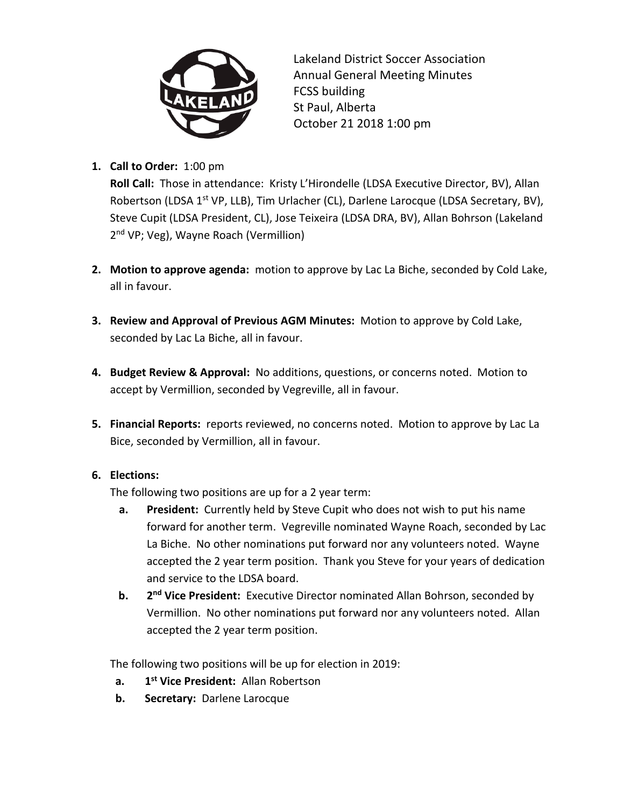

Lakeland District Soccer Association Annual General Meeting Minutes FCSS building St Paul, Alberta October 21 2018 1:00 pm

**1. Call to Order:** 1:00 pm

**Roll Call:** Those in attendance: Kristy L'Hirondelle (LDSA Executive Director, BV), Allan Robertson (LDSA 1<sup>st</sup> VP, LLB), Tim Urlacher (CL), Darlene Larocque (LDSA Secretary, BV), Steve Cupit (LDSA President, CL), Jose Teixeira (LDSA DRA, BV), Allan Bohrson (Lakeland 2<sup>nd</sup> VP; Veg), Wayne Roach (Vermillion)

- **2. Motion to approve agenda:** motion to approve by Lac La Biche, seconded by Cold Lake, all in favour.
- **3. Review and Approval of Previous AGM Minutes:** Motion to approve by Cold Lake, seconded by Lac La Biche, all in favour.
- **4. Budget Review & Approval:** No additions, questions, or concerns noted. Motion to accept by Vermillion, seconded by Vegreville, all in favour.
- **5. Financial Reports:** reports reviewed, no concerns noted. Motion to approve by Lac La Bice, seconded by Vermillion, all in favour.

## **6. Elections:**

The following two positions are up for a 2 year term:

- **a. President:** Currently held by Steve Cupit who does not wish to put his name forward for another term. Vegreville nominated Wayne Roach, seconded by Lac La Biche. No other nominations put forward nor any volunteers noted. Wayne accepted the 2 year term position. Thank you Steve for your years of dedication and service to the LDSA board.
- **b. 2 nd Vice President:** Executive Director nominated Allan Bohrson, seconded by Vermillion. No other nominations put forward nor any volunteers noted. Allan accepted the 2 year term position.

The following two positions will be up for election in 2019:

- **a. 1 st Vice President:** Allan Robertson
- **b.** Secretary: Darlene Larocque